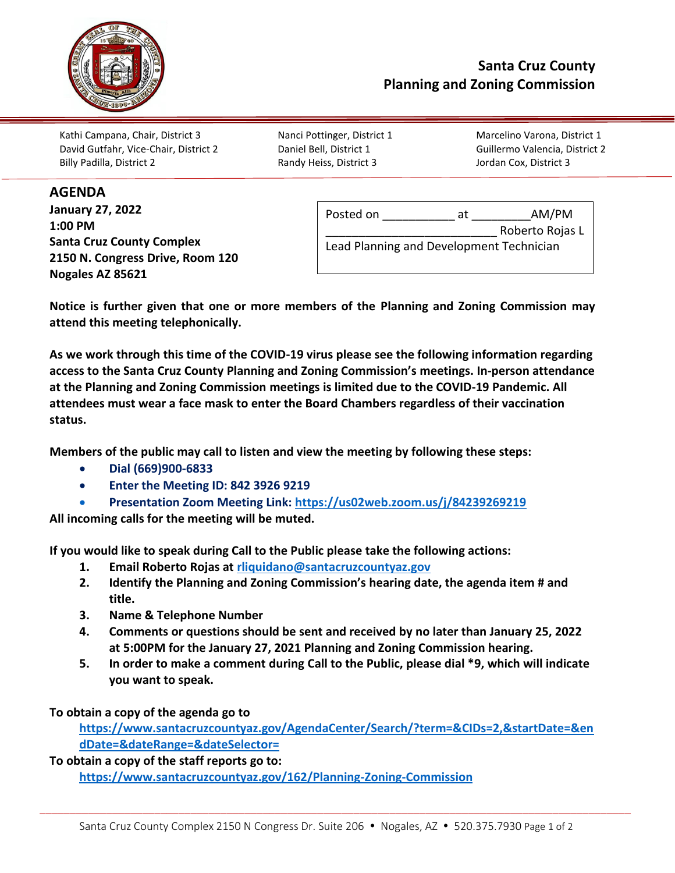

**AGENDA**

Kathi Campana, Chair, District 3 Nanci Pottinger, District 1 Marcelino Varona, District 1 David Gutfahr, Vice-Chair, District 2 Daniel Bell, District 1 Guillermo Valencia, District 2 Billy Padilla, District 2 Randy Heiss, District 3 Jordan Cox, District 3

| January 27, 2022                 | Posted on                                | at | AM/PM           |
|----------------------------------|------------------------------------------|----|-----------------|
| 1:00 PM                          |                                          |    | Roberto Rojas L |
| <b>Santa Cruz County Complex</b> | Lead Planning and Development Technician |    |                 |
| 2150 N. Congress Drive, Room 120 |                                          |    |                 |
| Nogales AZ 85621                 |                                          |    |                 |

**Notice is further given that one or more members of the Planning and Zoning Commission may attend this meeting telephonically.**

**As we work through this time of the COVID-19 virus please see the following information regarding access to the Santa Cruz County Planning and Zoning Commission's meetings. In-person attendance at the Planning and Zoning Commission meetings is limited due to the COVID-19 Pandemic. All attendees must wear a face mask to enter the Board Chambers regardless of their vaccination status.**

**Members of the public may call to listen and view the meeting by following these steps:** 

- **Dial (669)900-6833**
- **Enter the Meeting ID: 842 3926 9219**
- **Presentation Zoom Meeting Link:<https://us02web.zoom.us/j/84239269219>**

**All incoming calls for the meeting will be muted.** 

**If you would like to speak during Call to the Public please take the following actions:** 

- **1. Email Roberto Rojas at [rliquidano@santacruzcountyaz.gov](mailto:rliquidano@santacruzcountyaz.gov)**
- **2. Identify the Planning and Zoning Commission's hearing date, the agenda item # and title.**
- **3. Name & Telephone Number**
- **4. Comments or questions should be sent and received by no later than January 25, 2022 at 5:00PM for the January 27, 2021 Planning and Zoning Commission hearing.**
- **5. In order to make a comment during Call to the Public, please dial \*9, which will indicate you want to speak.**

**To obtain a copy of the agenda go to** 

**[https://www.santacruzcountyaz.gov/AgendaCenter/Search/?term=&CIDs=2,&startDate=&en](https://www.santacruzcountyaz.gov/AgendaCenter/Search/?term=&CIDs=2,&startDate=&endDate=&dateRange=&dateSelector=) [dDate=&dateRange=&dateSelector=](https://www.santacruzcountyaz.gov/AgendaCenter/Search/?term=&CIDs=2,&startDate=&endDate=&dateRange=&dateSelector=)**

**To obtain a copy of the staff reports go to: <https://www.santacruzcountyaz.gov/162/Planning-Zoning-Commission>**

\_\_\_\_\_\_\_\_\_\_\_\_\_\_\_\_\_\_\_\_\_\_\_\_\_\_\_\_\_\_\_\_\_\_\_\_\_\_\_\_\_\_\_\_\_\_\_\_\_\_\_\_\_\_\_\_\_\_\_\_\_\_\_\_\_\_\_\_\_\_\_\_\_\_\_\_\_\_\_\_\_\_\_\_\_\_\_\_\_\_\_\_\_\_\_\_\_\_